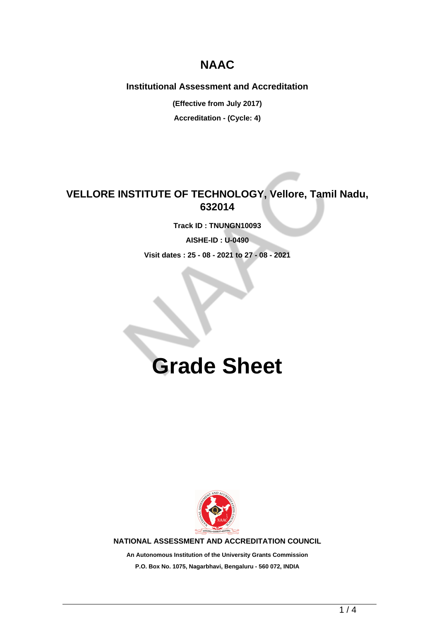## **NAAC**

**Institutional Assessment and Accreditation**

**(Effective from July 2017) Accreditation - (Cycle: 4)**

**VELLORE INSTITUTE OF TECHNOLOGY, Vellore, Tamil Nadu, 632014**

**Track ID : TNUNGN10093**

**AISHE-ID : U-0490**

**Visit dates : 25 - 08 - 2021 to 27 - 08 - 2021**

## **Grade Sheet**



**NATIONAL ASSESSMENT AND ACCREDITATION COUNCIL**

**An Autonomous Institution of the University Grants Commission P.O. Box No. 1075, Nagarbhavi, Bengaluru - 560 072, INDIA**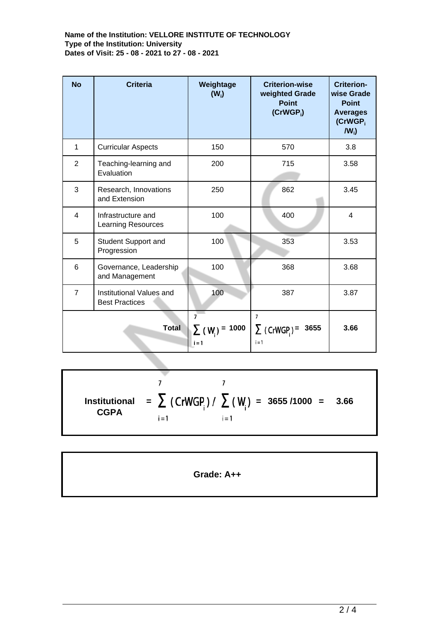## **Name of the Institution: VELLORE INSTITUTE OF TECHNOLOGY Type of the Institution: University Dates of Visit: 25 - 08 - 2021 to 27 - 08 - 2021**

| <b>No</b>      | <b>Criteria</b>                                   | Weightage<br>$(W_i)$                             | <b>Criterion-wise</b><br>weighted Grade<br><b>Point</b><br>$(CrWGP_i)$ | <b>Criterion-</b><br>wise Grade<br><b>Point</b><br><b>Averages</b><br>(CrWGP <sub>i</sub> )<br>$IW_i$ |
|----------------|---------------------------------------------------|--------------------------------------------------|------------------------------------------------------------------------|-------------------------------------------------------------------------------------------------------|
| 1              | <b>Curricular Aspects</b>                         | 150                                              | 570                                                                    | 3.8                                                                                                   |
| $\overline{2}$ | Teaching-learning and<br>Evaluation               | 200                                              | 715                                                                    | 3.58                                                                                                  |
| 3              | Research, Innovations<br>and Extension            | 250                                              | 862                                                                    | 3.45                                                                                                  |
| $\overline{4}$ | Infrastructure and<br>Learning Resources          | 100                                              | 400                                                                    | $\overline{4}$                                                                                        |
| 5              | <b>Student Support and</b><br>Progression         | 100                                              | 353                                                                    | 3.53                                                                                                  |
| 6              | Governance, Leadership<br>and Management          | 100                                              | 368                                                                    | 3.68                                                                                                  |
| $\overline{7}$ | Institutional Values and<br><b>Best Practices</b> | 100                                              | 387                                                                    | 3.87                                                                                                  |
| <b>Total</b>   |                                                   | $\overline{7}$<br>$\sum (W_i) = 1000$<br>$i = 1$ | $\overline{7}$<br>$\sum$ (CrWGP) =<br>3655<br>$i = 1$                  | 3.66                                                                                                  |

 $\overline{7}$  $\overline{7}$ **Institutional = = 3655 /1000 = 3.66 CGPA**  $i = 1$  $i = 1$ 

**Grade: A++**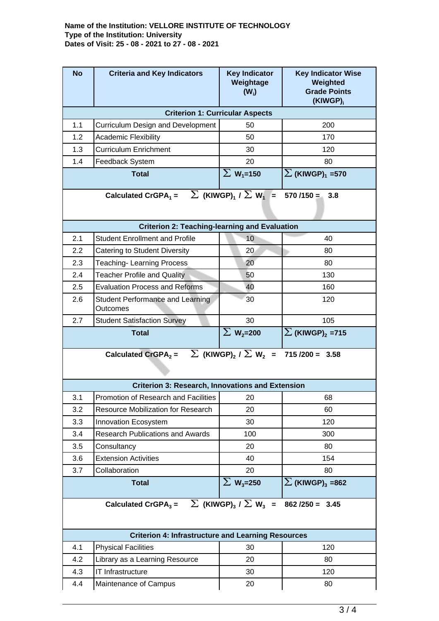## **Name of the Institution: VELLORE INSTITUTE OF TECHNOLOGY Type of the Institution: University Dates of Visit: 25 - 08 - 2021 to 27 - 08 - 2021**

| <b>No</b>                                                                                                   | <b>Criteria and Key Indicators</b>                         | <b>Key Indicator</b><br>Weightage<br>$(W_i)$ | <b>Key Indicator Wise</b><br>Weighted<br><b>Grade Points</b><br>(KIWGP) <sub>i</sub> |  |  |  |  |
|-------------------------------------------------------------------------------------------------------------|------------------------------------------------------------|----------------------------------------------|--------------------------------------------------------------------------------------|--|--|--|--|
| <b>Criterion 1: Curricular Aspects</b>                                                                      |                                                            |                                              |                                                                                      |  |  |  |  |
| 1.1                                                                                                         | <b>Curriculum Design and Development</b>                   | 50                                           | 200                                                                                  |  |  |  |  |
| 1.2                                                                                                         | Academic Flexibility                                       | 50                                           | 170                                                                                  |  |  |  |  |
| 1.3                                                                                                         | <b>Curriculum Enrichment</b>                               | 30                                           | 120                                                                                  |  |  |  |  |
| 1.4                                                                                                         | Feedback System                                            | 20                                           | 80                                                                                   |  |  |  |  |
|                                                                                                             | <b>Total</b>                                               | $\Sigma$ W <sub>1</sub> =150                 | $\sum$ (KIWGP) <sub>1</sub> =570                                                     |  |  |  |  |
| $\sum$ (KIWGP) <sub>1</sub> / $\sum$ W <sub>1</sub> =<br>Calculated CrGPA $_1$ =<br>$570/150 =$<br>3.8      |                                                            |                                              |                                                                                      |  |  |  |  |
|                                                                                                             | <b>Criterion 2: Teaching-learning and Evaluation</b>       |                                              |                                                                                      |  |  |  |  |
| 2.1                                                                                                         | <b>Student Enrollment and Profile</b>                      | 10                                           | 40                                                                                   |  |  |  |  |
| 2.2                                                                                                         | Catering to Student Diversity                              | 20                                           | 80                                                                                   |  |  |  |  |
| 2.3                                                                                                         | <b>Teaching-Learning Process</b>                           | 20                                           | 80                                                                                   |  |  |  |  |
| 2.4                                                                                                         | <b>Teacher Profile and Quality</b>                         | 50                                           | 130                                                                                  |  |  |  |  |
| 2.5                                                                                                         | <b>Evaluation Process and Reforms</b>                      | 40                                           | 160                                                                                  |  |  |  |  |
| 2.6                                                                                                         | <b>Student Performance and Learning</b><br><b>Outcomes</b> | 30                                           | 120                                                                                  |  |  |  |  |
| 2.7                                                                                                         | <b>Student Satisfaction Survey</b>                         | 30                                           | 105                                                                                  |  |  |  |  |
|                                                                                                             | <b>Total</b>                                               | $\Sigma$ W <sub>2</sub> =200                 | $\sum$ (KIWGP) <sub>2</sub> = 715                                                    |  |  |  |  |
| Calculated CrGPA <sub>2</sub> = $\sum$ (KIWGP) <sub>2</sub> / $\sum$ W <sub>2</sub> =<br>$715/200 = 3.58$   |                                                            |                                              |                                                                                      |  |  |  |  |
|                                                                                                             | <b>Criterion 3: Research, Innovations and Extension</b>    |                                              |                                                                                      |  |  |  |  |
| 3.1                                                                                                         | Promotion of Research and Facilities                       | 20                                           | 68                                                                                   |  |  |  |  |
| 3.2                                                                                                         | Resource Mobilization for Research                         | 20                                           | 60                                                                                   |  |  |  |  |
| 3.3                                                                                                         | Innovation Ecosystem                                       | 30                                           | 120                                                                                  |  |  |  |  |
| 3.4                                                                                                         | <b>Research Publications and Awards</b>                    | 100                                          | 300                                                                                  |  |  |  |  |
| 3.5                                                                                                         | Consultancy                                                | 20                                           | 80                                                                                   |  |  |  |  |
| 3.6                                                                                                         | <b>Extension Activities</b>                                | 40                                           | 154                                                                                  |  |  |  |  |
| 3.7                                                                                                         | Collaboration                                              | 20                                           | 80                                                                                   |  |  |  |  |
|                                                                                                             | <b>Total</b>                                               | $\Sigma$ W <sub>3</sub> =250                 | $\Sigma$ (KIWGP) <sub>3</sub> =862                                                   |  |  |  |  |
| Calculated CrGPA <sub>3</sub> = $\sum$ (KIWGP) <sub>3</sub> / $\sum$ W <sub>3</sub> =<br>$862 / 250 = 3.45$ |                                                            |                                              |                                                                                      |  |  |  |  |
| <b>Criterion 4: Infrastructure and Learning Resources</b>                                                   |                                                            |                                              |                                                                                      |  |  |  |  |
| 4.1                                                                                                         |                                                            |                                              |                                                                                      |  |  |  |  |
|                                                                                                             | <b>Physical Facilities</b>                                 | 30                                           | 120                                                                                  |  |  |  |  |
| 4.2                                                                                                         | Library as a Learning Resource                             | 20                                           | 80                                                                                   |  |  |  |  |
| 4.3                                                                                                         | IT Infrastructure                                          | 30                                           | 120                                                                                  |  |  |  |  |